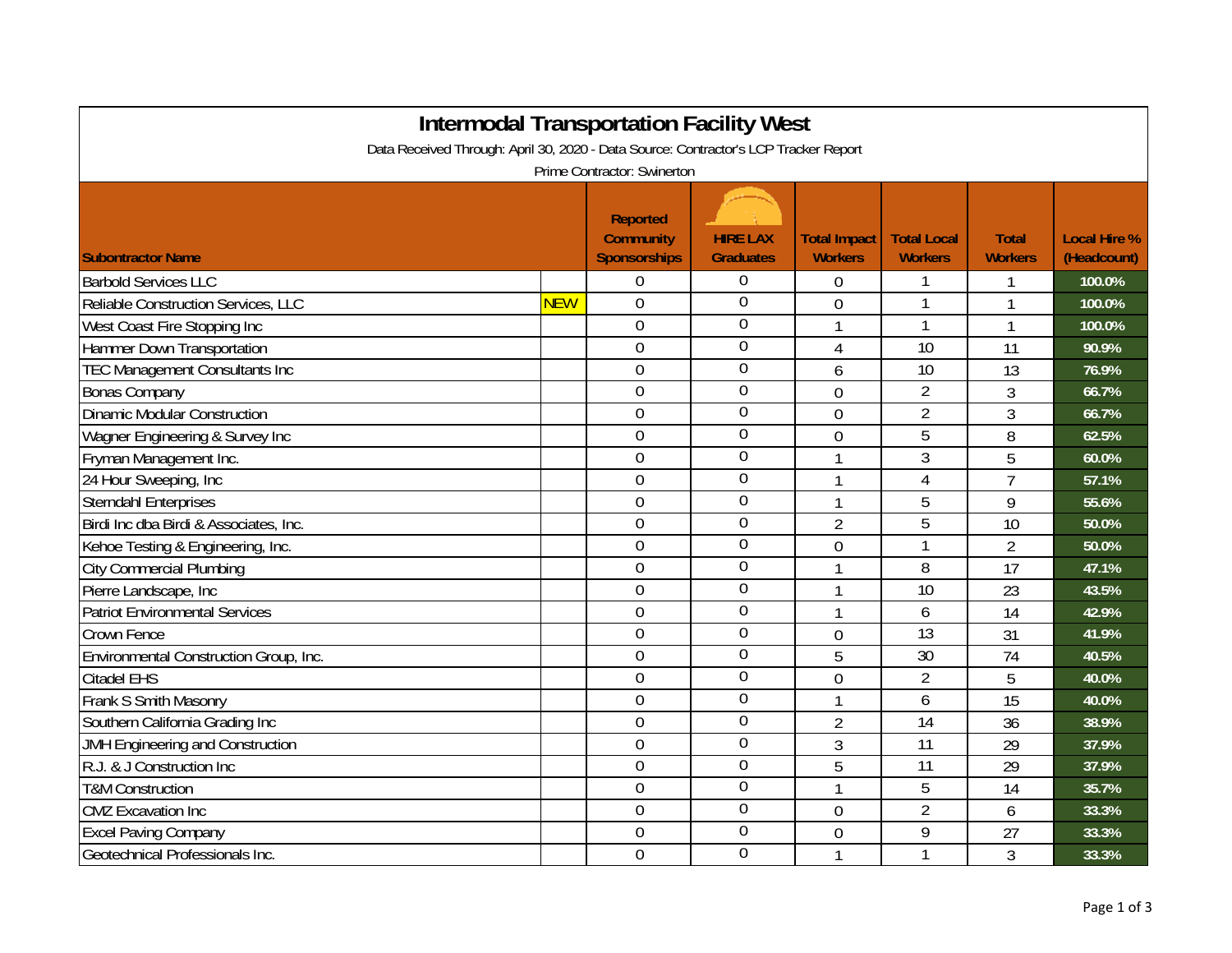| <b>Intermodal Transportation Facility West</b>                                       |            |                                                     |                                     |                                       |                                      |                                |                                    |  |  |
|--------------------------------------------------------------------------------------|------------|-----------------------------------------------------|-------------------------------------|---------------------------------------|--------------------------------------|--------------------------------|------------------------------------|--|--|
| Data Received Through: April 30, 2020 - Data Source: Contractor's LCP Tracker Report |            |                                                     |                                     |                                       |                                      |                                |                                    |  |  |
| Prime Contractor: Swinerton                                                          |            |                                                     |                                     |                                       |                                      |                                |                                    |  |  |
| <b>Subontractor Name</b>                                                             |            | <b>Reported</b><br><b>Community</b><br>Sponsorships | <b>HIRE LAX</b><br><b>Graduates</b> | <b>Total Impact</b><br><b>Workers</b> | <b>Total Local</b><br><b>Workers</b> | <b>Total</b><br><b>Workers</b> | <b>Local Hire %</b><br>(Headcount) |  |  |
| <b>Barbold Services LLC</b>                                                          |            | 0                                                   | $\overline{0}$                      | $\Omega$                              |                                      |                                | 100.0%                             |  |  |
| Reliable Construction Services, LLC                                                  | <b>NEW</b> | 0                                                   | $\overline{0}$                      | $\mathbf 0$                           | 1                                    | 1                              | 100.0%                             |  |  |
| West Coast Fire Stopping Inc                                                         |            | $\Omega$                                            | 0                                   | 1                                     |                                      | 1                              | 100.0%                             |  |  |
| Hammer Down Transportation                                                           |            | 0                                                   | $\theta$                            | $\overline{4}$                        | 10                                   | 11                             | 90.9%                              |  |  |
| <b>TEC Management Consultants Inc</b>                                                |            | 0                                                   | $\boldsymbol{0}$                    | 6                                     | 10                                   | 13                             | 76.9%                              |  |  |
| <b>Bonas Company</b>                                                                 |            | $\overline{0}$                                      | 0                                   | $\overline{0}$                        | $\overline{2}$                       | 3                              | 66.7%                              |  |  |
| <b>Dinamic Modular Construction</b>                                                  |            | $\overline{0}$                                      | $\overline{0}$                      | $\overline{0}$                        | $\overline{2}$                       | 3                              | 66.7%                              |  |  |
| Wagner Engineering & Survey Inc                                                      |            | $\overline{0}$                                      | $\overline{0}$                      | $\overline{0}$                        | $\overline{5}$                       | 8                              | 62.5%                              |  |  |
| Fryman Management Inc.                                                               |            | $\overline{0}$                                      | $\mathbf 0$                         | $\mathbf{1}$                          | 3                                    | 5                              | 60.0%                              |  |  |
| 24 Hour Sweeping, Inc                                                                |            | $\overline{0}$                                      | $\overline{0}$                      | $\mathbf{1}$                          | $\overline{4}$                       | $\overline{7}$                 | 57.1%                              |  |  |
| <b>Sterndahl Enterprises</b>                                                         |            | 0                                                   | $\overline{0}$                      | $\mathbf{1}$                          | 5                                    | 9                              | 55.6%                              |  |  |
| Birdi Inc dba Birdi & Associates, Inc.                                               |            | $\mathbf 0$                                         | 0                                   | $\overline{2}$                        | 5                                    | 10                             | 50.0%                              |  |  |
| Kehoe Testing & Engineering, Inc.                                                    |            | $\overline{0}$                                      | $\mathbf 0$                         | $\overline{0}$                        | 1                                    | $\overline{2}$                 | 50.0%                              |  |  |
| <b>City Commercial Plumbing</b>                                                      |            | 0                                                   | $\mathbf 0$                         | 1                                     | 8                                    | 17                             | 47.1%                              |  |  |
| Pierre Landscape, Inc                                                                |            | $\overline{0}$                                      | $\overline{0}$                      | 1                                     | 10                                   | 23                             | 43.5%                              |  |  |
| <b>Patriot Environmental Services</b>                                                |            | $\overline{0}$                                      | $\overline{0}$                      | $\mathbf{1}$                          | 6                                    | 14                             | 42.9%                              |  |  |
| Crown Fence                                                                          |            | $\overline{0}$                                      | $\overline{0}$                      | $\overline{0}$                        | 13                                   | 31                             | 41.9%                              |  |  |
| Environmental Construction Group, Inc.                                               |            | 0                                                   | $\overline{0}$                      | 5                                     | 30                                   | 74                             | 40.5%                              |  |  |
| <b>Citadel EHS</b>                                                                   |            | $\overline{0}$                                      | $\overline{0}$                      | $\overline{0}$                        | $\overline{2}$                       | 5                              | 40.0%                              |  |  |
| Frank S Smith Masonry                                                                |            | $\mathbf 0$                                         | $\overline{0}$                      | 1                                     | 6                                    | 15                             | 40.0%                              |  |  |
| Southern California Grading Inc                                                      |            | $\overline{0}$                                      | $\overline{0}$                      | $\overline{2}$                        | 14                                   | 36                             | 38.9%                              |  |  |
| JMH Engineering and Construction                                                     |            | $\overline{0}$                                      | $\mathbf 0$                         | 3                                     | 11                                   | 29                             | 37.9%                              |  |  |
| R.J. & J Construction Inc                                                            |            | 0                                                   | $\overline{0}$                      | 5                                     | $\overline{11}$                      | 29                             | 37.9%                              |  |  |
| <b>T&amp;M Construction</b>                                                          |            | 0                                                   | $\overline{0}$                      | $\mathbf{1}$                          | 5                                    | 14                             | 35.7%                              |  |  |
| <b>CMZ</b> Excavation Inc                                                            |            | $\mathbf 0$                                         | $\overline{0}$                      | $\mathbf 0$                           | $\overline{2}$                       | 6                              | 33.3%                              |  |  |
| <b>Excel Paving Company</b>                                                          |            | 0                                                   | $\boldsymbol{0}$                    | $\overline{0}$                        | 9                                    | 27                             | 33.3%                              |  |  |
| Geotechnical Professionals Inc.                                                      |            | $\overline{0}$                                      | $\overline{0}$                      | $\mathbf{1}$                          | 1                                    | 3                              | 33.3%                              |  |  |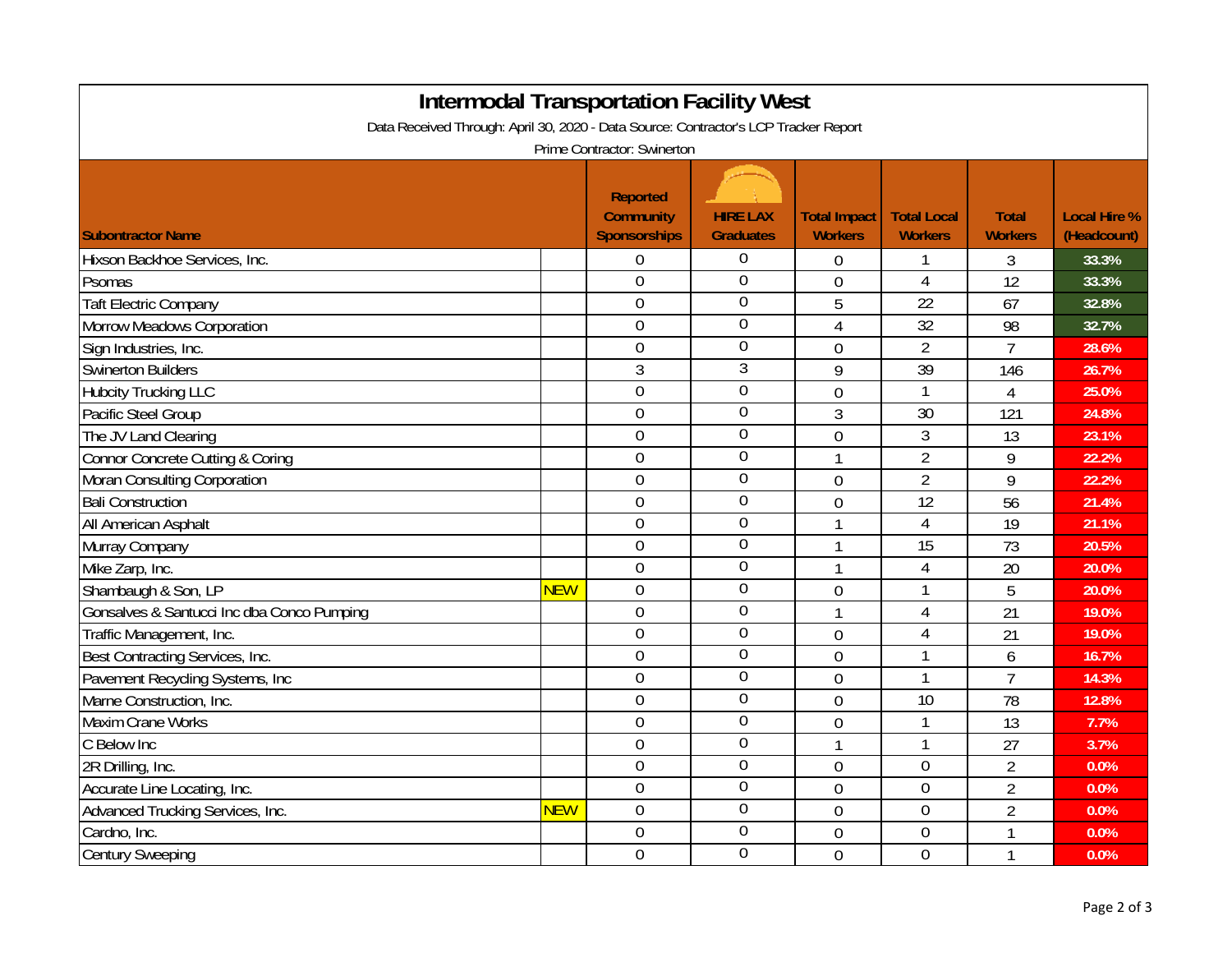| <b>Intermodal Transportation Facility West</b><br>Data Received Through: April 30, 2020 - Data Source: Contractor's LCP Tracker Report |            |                                                            |                                     |                                       |                                      |                                |                                    |  |  |
|----------------------------------------------------------------------------------------------------------------------------------------|------------|------------------------------------------------------------|-------------------------------------|---------------------------------------|--------------------------------------|--------------------------------|------------------------------------|--|--|
| Prime Contractor: Swinerton                                                                                                            |            |                                                            |                                     |                                       |                                      |                                |                                    |  |  |
| <b>Subontractor Name</b>                                                                                                               |            | <b>Reported</b><br><b>Community</b><br><b>Sponsorships</b> | <b>HIRE LAX</b><br><b>Graduates</b> | <b>Total Impact</b><br><b>Workers</b> | <b>Total Local</b><br><b>Workers</b> | <b>Total</b><br><b>Workers</b> | <b>Local Hire %</b><br>(Headcount) |  |  |
| Hixson Backhoe Services, Inc.                                                                                                          |            | $\boldsymbol{0}$                                           | 0                                   | 0                                     | 1                                    | 3                              | 33.3%                              |  |  |
| Psomas                                                                                                                                 |            | $\overline{0}$                                             | $\mathbf 0$                         | $\overline{0}$                        | $\overline{4}$                       | 12                             | 33.3%                              |  |  |
| <b>Taft Electric Company</b>                                                                                                           |            | $\overline{0}$                                             | $\overline{0}$                      | 5                                     | $\overline{22}$                      | 67                             | 32.8%                              |  |  |
| <b>Morrow Meadows Corporation</b>                                                                                                      |            | $\mathbf 0$                                                | $\overline{0}$                      | 4                                     | $\overline{32}$                      | 98                             | 32.7%                              |  |  |
| Sign Industries, Inc.                                                                                                                  |            | $\mathbf 0$                                                | $\overline{0}$                      | $\overline{0}$                        | $\overline{2}$                       | $\overline{7}$                 | 28.6%                              |  |  |
| <b>Swinerton Builders</b>                                                                                                              |            | $\mathfrak{Z}$                                             | $\overline{3}$                      | 9                                     | $\overline{39}$                      | 146                            | 26.7%                              |  |  |
| <b>Hubcity Trucking LLC</b>                                                                                                            |            | $\mathbf 0$                                                | $\overline{0}$                      | $\overline{0}$                        | $\mathbf{1}$                         | $\overline{4}$                 | 25.0%                              |  |  |
| Pacific Steel Group                                                                                                                    |            | $\mathbf 0$                                                | $\overline{0}$                      | $\mathfrak{Z}$                        | $\overline{30}$                      | 121                            | 24.8%                              |  |  |
| The JV Land Clearing                                                                                                                   |            | $\mathbf 0$                                                | $\overline{0}$                      | $\overline{0}$                        | 3                                    | 13                             | 23.1%                              |  |  |
| Connor Concrete Cutting & Coring                                                                                                       |            | $\overline{0}$                                             | $\mathbf 0$                         | 1                                     | $\overline{2}$                       | 9                              | 22.2%                              |  |  |
| Moran Consulting Corporation                                                                                                           |            | $\overline{0}$                                             | $\overline{0}$                      | $\overline{0}$                        | $\overline{2}$                       | 9                              | 22.2%                              |  |  |
| <b>Bali Construction</b>                                                                                                               |            | $\overline{0}$                                             | $\overline{0}$                      | $\overline{0}$                        | $\overline{12}$                      | $\overline{56}$                | 21.4%                              |  |  |
| All American Asphalt                                                                                                                   |            | $\mathbf 0$                                                | $\boldsymbol{0}$                    | 1                                     | $\overline{4}$                       | 19                             | 21.1%                              |  |  |
| Murray Company                                                                                                                         |            | $\mathbf 0$                                                | $\mathbf 0$                         | 1                                     | 15                                   | 73                             | 20.5%                              |  |  |
| Mike Zarp, Inc.                                                                                                                        |            | $\mathbf 0$                                                | $\boldsymbol{0}$                    | $\mathbf{1}$                          | $\overline{4}$                       | 20                             | 20.0%                              |  |  |
| Shambaugh & Son, LP                                                                                                                    | <b>NEW</b> | $\mathbf 0$                                                | $\overline{0}$                      | $\overline{0}$                        | 1                                    | 5                              | 20.0%                              |  |  |
| Gonsalves & Santucci Inc dba Conco Pumping                                                                                             |            | $\mathbf 0$                                                | $\overline{0}$                      | 1                                     | 4                                    | 21                             | 19.0%                              |  |  |
| Traffic Management, Inc.                                                                                                               |            | $\boldsymbol{0}$                                           | $\overline{0}$                      | $\overline{0}$                        | 4                                    | 21                             | 19.0%                              |  |  |
| Best Contracting Services, Inc.                                                                                                        |            | $\mathbf 0$                                                | $\boldsymbol{0}$                    | $\overline{0}$                        | $\mathbf{1}$                         | 6                              | 16.7%                              |  |  |
| Pavement Recycling Systems, Inc                                                                                                        |            | $\mathbf 0$                                                | $\overline{0}$                      | $\overline{0}$                        | $\mathbf{1}$                         | $\overline{7}$                 | 14.3%                              |  |  |
| Marne Construction, Inc.                                                                                                               |            | $\mathbf 0$                                                | $\overline{0}$                      | $\overline{0}$                        | 10                                   | 78                             | 12.8%                              |  |  |
| <b>Maxim Crane Works</b>                                                                                                               |            | $\overline{0}$                                             | $\overline{0}$                      | $\overline{0}$                        | $\mathbf{1}$                         | 13                             | 7.7%                               |  |  |
| C Below Inc                                                                                                                            |            | $\boldsymbol{0}$                                           | $\mathbf 0$                         | 1                                     | $\mathbf{1}$                         | 27                             | 3.7%                               |  |  |
| 2R Drilling, Inc.                                                                                                                      |            | $\overline{0}$                                             | $\overline{0}$                      | $\overline{0}$                        | $\boldsymbol{0}$                     | $\overline{2}$                 | 0.0%                               |  |  |
| Accurate Line Locating, Inc.                                                                                                           |            | $\mathbf 0$                                                | $\overline{0}$                      | $\overline{0}$                        | $\boldsymbol{0}$                     | $\overline{2}$                 | 0.0%                               |  |  |
| Advanced Trucking Services, Inc.                                                                                                       | <b>NEW</b> | $\mathbf 0$                                                | $\overline{0}$                      | $\overline{0}$                        | $\mathbf 0$                          | $\overline{2}$                 | 0.0%                               |  |  |
| Cardno, Inc.                                                                                                                           |            | $\mathbf 0$                                                | $\boldsymbol{0}$                    | $\overline{0}$                        | 0                                    | 1                              | 0.0%                               |  |  |
| <b>Century Sweeping</b>                                                                                                                |            | $\mathbf 0$                                                | $\overline{0}$                      | $\overline{0}$                        | $\overline{0}$                       | $\mathbf{1}$                   | 0.0%                               |  |  |